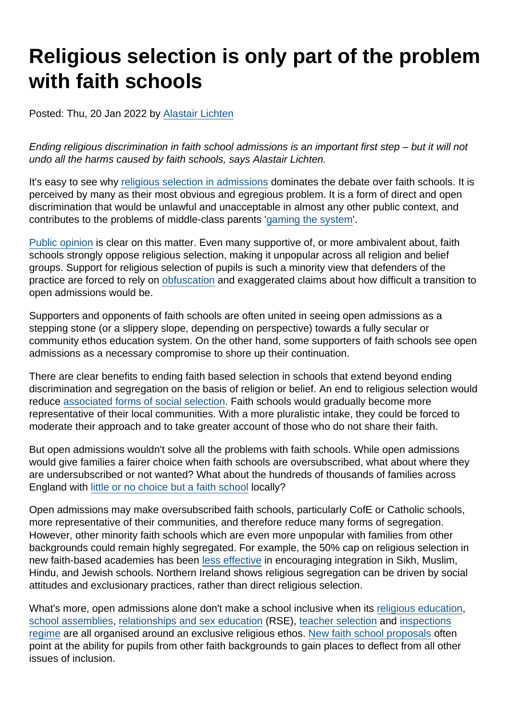# Religious selection is only part of the problem with faith schools

Posted: Thu, 20 Jan 2022 by [Alastair Lichten](https://www.secularism.org.uk/opinion/authors/847)

Ending religious discrimination in faith school admissions is an important first step – but it will not undo all the harms caused by faith schools, says Alastair Lichten.

It's easy to see why [religious selection in admissions](https://www.secularism.org.uk/faith-schools/admissions.html) dominates the debate over faith schools. It is perceived by many as their most obvious and egregious problem. It is a form of direct and open discrimination that would be unlawful and unacceptable in almost any other public context, and contributes to the problems of middle-class parents '[gaming the system](https://news.sky.com/story/a-quarter-of-parents-bend-rules-to-get-children-into-preferred-school-survey-finds-12514015)'.

[Public opinion](https://www.secularism.org.uk/data.html) is clear on this matter. Even many supportive of, or more ambivalent about, faith schools strongly oppose religious selection, making it unpopular across all religion and belief groups. Support for religious selection of pupils is such a minority view that defenders of the practice are forced to rely on [obfuscation](https://www.secularism.org.uk/news/2021/10/nss-calls-for-transparency-over-discriminatory-school-admissions) and exaggerated claims about how difficult a transition to open admissions would be.

Supporters and opponents of faith schools are often united in seeing open admissions as a stepping stone (or a slippery slope, depending on perspective) towards a fully secular or community ethos education system. On the other hand, some supporters of faith schools see open admissions as a necessary compromise to shore up their continuation.

There are clear benefits to ending faith based selection in schools that extend beyond ending discrimination and segregation on the basis of religion or belief. An end to religious selection would reduce [associated forms of social selection.](https://www.secularism.org.uk/opinion/2020/12/allowing-religious-discrimination-in-school-admissions-opens-the-door-to-other-forms-of-discrimination) Faith schools would gradually become more representative of their local communities. With a more pluralistic intake, they could be forced to moderate their approach and to take greater account of those who do not share their faith.

But open admissions wouldn't solve all the problems with faith schools. While open admissions would give families a fairer choice when faith schools are oversubscribed, what about where they are undersubscribed or not wanted? What about the hundreds of thousands of families across England with [little or no choice but a faith school](https://www.secularism.org.uk/faith-schools/choicedelusion.html) locally?

Open admissions may make oversubscribed faith schools, particularly CofE or Catholic schools, more representative of their communities, and therefore reduce many forms of segregation. However, other minority faith schools which are even more unpopular with families from other backgrounds could remain highly segregated. For example, the 50% cap on religious selection in new faith-based academies has been [less effective](https://www.secularism.org.uk/uploads/submission-to-dfe-schools-that-work-for-everyone-consultation.pdf) in encouraging integration in Sikh, Muslim, Hindu, and Jewish schools. Northern Ireland shows religious segregation can be driven by social attitudes and exclusionary practices, rather than direct religious selection.

What's more, open admissions alone don't make a school inclusive when its [religious education](https://www.secularism.org.uk/21st-century-re-for-all/), [school assemblies](https://www.secularism.org.uk/end-compulsory-worship/), [relationships and sex education](https://www.secularism.org.uk/sex-education/) (RSE), [teacher selection](https://www.secularism.org.uk/faith-schools/end-employment-discrimination.html) and [inspections](https://www.secularism.org.uk/faith-schools/religiosity-inspections.html) [regime](https://www.secularism.org.uk/faith-schools/religiosity-inspections.html) are all organised around an exclusive religious ethos. [New faith school proposals](https://www.nomorefaithschools.org/get-involved.html#campaign-locally) often point at the ability for pupils from other faith backgrounds to gain places to deflect from all other issues of inclusion.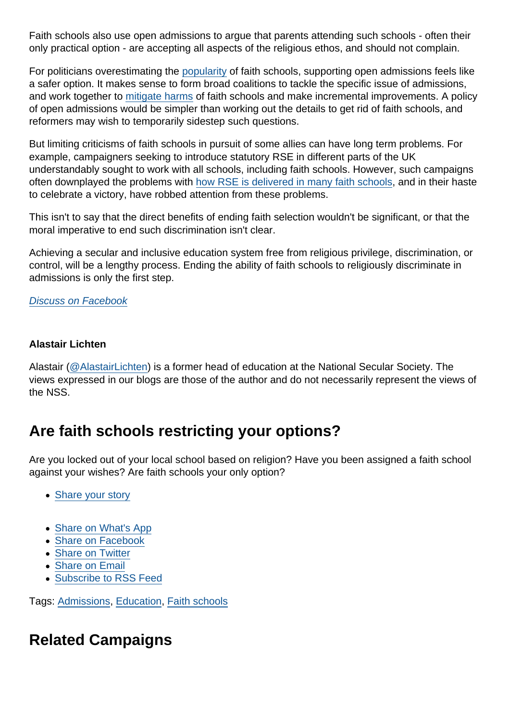Faith schools also use open admissions to argue that parents attending such schools - often their only practical option - are accepting all aspects of the religious ethos, and should not complain.

For politicians overestimating the [popularity](https://www.secularism.org.uk/faith-school-facts.html?category=18) of faith schools, supporting open admissions feels like a safer option. It makes sense to form broad coalitions to tackle the specific issue of admissions, and work together to [mitigate harms](https://www.nomorefaithschools.org/news/2018/04/faith-schools-reducing-the-harm-isnt-enough) of faith schools and make incremental improvements. A policy of open admissions would be simpler than working out the details to get rid of faith schools, and reformers may wish to temporarily sidestep such questions.

But limiting criticisms of faith schools in pursuit of some allies can have long term problems. For example, campaigners seeking to introduce statutory RSE in different parts of the UK understandably sought to work with all schools, including faith schools. However, such campaigns often downplayed the problems with [how RSE is delivered in many faith schools](https://www.secularism.org.uk/uploads/unsafe-sex-report-april-2018.pdf), and in their haste to celebrate a victory, have robbed attention from these problems.

This isn't to say that the direct benefits of ending faith selection wouldn't be significant, or that the moral imperative to end such discrimination isn't clear.

Achieving a secular and inclusive education system free from religious privilege, discrimination, or control, will be a lengthy process. Ending the ability of faith schools to religiously discriminate in admissions is only the first step.

[Discuss on Facebook](https://www.facebook.com/NationalSecularSociety/posts/4766939670041013?__cft__[0]=AZU2WaJody9iBkZ26Yc6aaZ8IGCdlEh1ibkCFOVXCtTATOw4av6wr_eUlwNLHaVTqjW-EligSzBj7oGi5LdfWRxKDN0z_kKOd1BvTZ76cDmeoG7WWQCAMb4N8KDEDTZPy2SjSFM1-jn2zapLV0VQWEN5SAc7FSGx8fVAYgwE1CnRpPMb5XFTKumAQE8FRblmblI&__tn__=,O,P-R)

Alastair Lichten

Alastair [\(@AlastairLichten](https://twitter.com/alastairlichten)) is a former head of education at the National Secular Society. The views expressed in our blogs are those of the author and do not necessarily represent the views of the NSS.

## Are faith schools restricting your options?

Are you locked out of your local school based on religion? Have you been assigned a faith school against your wishes? Are faith schools your only option?

- [Share your story](https://www.secularism.org.uk/stories.html)
- [Share on What's App](whatsapp://send?text=http://www.secularism.org.uk/opinion/2022/01/religious-selection-is-only-part-of-the-problem-with-faith-schools?format=pdf)
- [Share on Facebook](https://www.facebook.com/sharer/sharer.php?u=http://www.secularism.org.uk/opinion/2022/01/religious-selection-is-only-part-of-the-problem-with-faith-schools?format=pdf&t=Religious+selection+is+only+part+of+the+problem+with+faith+schools)
- [Share on Twitter](https://twitter.com/intent/tweet?url=http://www.secularism.org.uk/opinion/2022/01/religious-selection-is-only-part-of-the-problem-with-faith-schools?format=pdf&text=Religious+selection+is+only+part+of+the+problem+with+faith+schools&via=NatSecSoc)
- [Share on Email](https://www.secularism.org.uk/share.html?url=http://www.secularism.org.uk/opinion/2022/01/religious-selection-is-only-part-of-the-problem-with-faith-schools?format=pdf&title=Religious+selection+is+only+part+of+the+problem+with+faith+schools)
- [Subscribe to RSS Feed](/mnt/web-data/www/cp-nss/feeds/rss/news)

Tags: [Admissions,](https://www.secularism.org.uk/opinion/tags/Admissions) [Education,](https://www.secularism.org.uk/opinion/tags/Education) [Faith schools](https://www.secularism.org.uk/opinion/tags/Faith+schools)

Related Campaigns